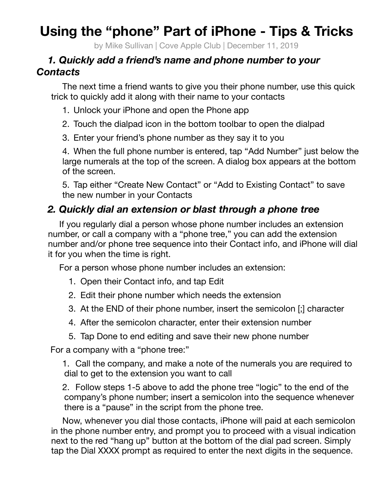## **Using the "phone" Part of iPhone - Tips & Tricks**

by Mike Sullivan | Cove Apple Club | December 11, 2019

## *1. Quickly add a friend's name and phone number to your Contacts*

The next time a friend wants to give you their phone number, use this quick trick to quickly add it along with their name to your contacts

- 1. Unlock your iPhone and open the Phone app
- 2. Touch the dialpad icon in the bottom toolbar to open the dialpad
- 3. Enter your friend's phone number as they say it to you

4. When the full phone number is entered, tap "Add Number" just below the large numerals at the top of the screen. A dialog box appears at the bottom of the screen.

5. Tap either "Create New Contact" or "Add to Existing Contact" to save the new number in your Contacts

## *2. Quickly dial an extension or blast through a phone tree*

If you regularly dial a person whose phone number includes an extension number, or call a company with a "phone tree," you can add the extension number and/or phone tree sequence into their Contact info, and iPhone will dial it for you when the time is right.

For a person whose phone number includes an extension:

- 1. Open their Contact info, and tap Edit
- 2. Edit their phone number which needs the extension
- 3. At the END of their phone number, insert the semicolon [;] character
- 4. After the semicolon character, enter their extension number
- 5. Tap Done to end editing and save their new phone number

For a company with a "phone tree:"

1. Call the company, and make a note of the numerals you are required to dial to get to the extension you want to call

2. Follow steps 1-5 above to add the phone tree "logic" to the end of the company's phone number; insert a semicolon into the sequence whenever there is a "pause" in the script from the phone tree.

Now, whenever you dial those contacts, iPhone will paid at each semicolon in the phone number entry, and prompt you to proceed with a visual indication next to the red "hang up" button at the bottom of the dial pad screen. Simply tap the Dial XXXX prompt as required to enter the next digits in the sequence.